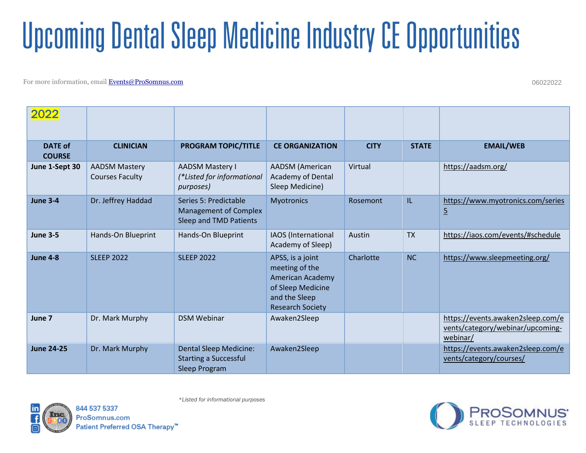For more information, email [Events@ProSomnus.com](file:///C:/Users/hwhalen/Documents/M-drive/Clinical%20Education/Schedules/Master%20Schedule/Events@ProSomnus.com)

06022022

| 2022                            |                                                |                                                                                       |                                                                                                                         |             |              |                                                                                   |
|---------------------------------|------------------------------------------------|---------------------------------------------------------------------------------------|-------------------------------------------------------------------------------------------------------------------------|-------------|--------------|-----------------------------------------------------------------------------------|
| <b>DATE of</b><br><b>COURSE</b> | <b>CLINICIAN</b>                               | <b>PROGRAM TOPIC/TITLE</b>                                                            | <b>CE ORGANIZATION</b>                                                                                                  | <b>CITY</b> | <b>STATE</b> | <b>EMAIL/WEB</b>                                                                  |
| June 1-Sept 30                  | <b>AADSM Mastery</b><br><b>Courses Faculty</b> | <b>AADSM Mastery I</b><br>(*Listed for informational<br>purposes)                     | <b>AADSM</b> (American<br>Academy of Dental<br>Sleep Medicine)                                                          | Virtual     |              | https://aadsm.org/                                                                |
| <b>June 3-4</b>                 | Dr. Jeffrey Haddad                             | Series 5: Predictable<br><b>Management of Complex</b><br>Sleep and TMD Patients       | <b>Myotronics</b>                                                                                                       | Rosemont    | IL           | https://www.myotronics.com/series<br>$\overline{5}$                               |
| <b>June 3-5</b>                 | Hands-On Blueprint                             | Hands-On Blueprint                                                                    | IAOS (International<br>Academy of Sleep)                                                                                | Austin      | <b>TX</b>    | https://iaos.com/events/#schedule                                                 |
| <b>June 4-8</b>                 | <b>SLEEP 2022</b>                              | <b>SLEEP 2022</b>                                                                     | APSS, is a joint<br>meeting of the<br>American Academy<br>of Sleep Medicine<br>and the Sleep<br><b>Research Society</b> | Charlotte   | <b>NC</b>    | https://www.sleepmeeting.org/                                                     |
| June 7                          | Dr. Mark Murphy                                | <b>DSM Webinar</b>                                                                    | Awaken2Sleep                                                                                                            |             |              | https://events.awaken2sleep.com/e<br>vents/category/webinar/upcoming-<br>webinar/ |
| <b>June 24-25</b>               | Dr. Mark Murphy                                | <b>Dental Sleep Medicine:</b><br><b>Starting a Successful</b><br><b>Sleep Program</b> | Awaken2Sleep                                                                                                            |             |              | https://events.awaken2sleep.com/e<br>vents/category/courses/                      |





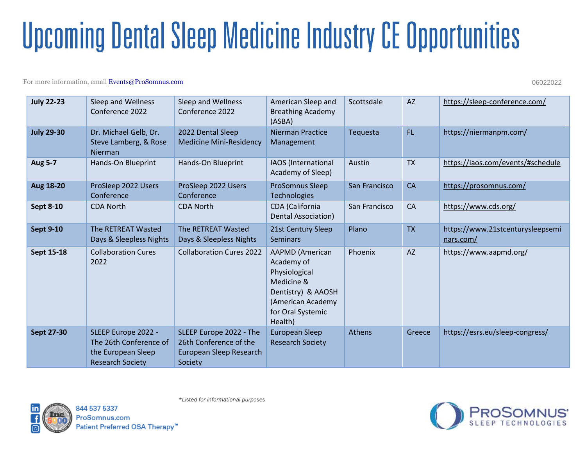### For more information, email [Events@ProSomnus.com](file:///C:/Users/hwhalen/Documents/M-drive/Clinical%20Education/Schedules/Master%20Schedule/Events@ProSomnus.com)

06022022

| <b>July 22-23</b> | Sleep and Wellness<br>Conference 2022                                                          | Sleep and Wellness<br>Conference 2022                                                   | American Sleep and<br><b>Breathing Academy</b><br>(ASBA)                                                                                       | Scottsdale    | <b>AZ</b> | https://sleep-conference.com/                 |
|-------------------|------------------------------------------------------------------------------------------------|-----------------------------------------------------------------------------------------|------------------------------------------------------------------------------------------------------------------------------------------------|---------------|-----------|-----------------------------------------------|
| <b>July 29-30</b> | Dr. Michael Gelb, Dr.<br>Steve Lamberg, & Rose<br>Nierman                                      | 2022 Dental Sleep<br><b>Medicine Mini-Residency</b>                                     | <b>Nierman Practice</b><br>Management                                                                                                          | Tequesta      | FL.       | https://niermanpm.com/                        |
| <b>Aug 5-7</b>    | Hands-On Blueprint                                                                             | Hands-On Blueprint                                                                      | IAOS (International<br>Academy of Sleep)                                                                                                       | Austin        | <b>TX</b> | https://iaos.com/events/#schedule             |
| Aug 18-20         | ProSleep 2022 Users<br>Conference                                                              | ProSleep 2022 Users<br>Conference                                                       | <b>ProSomnus Sleep</b><br><b>Technologies</b>                                                                                                  | San Francisco | CA        | https://prosomnus.com/                        |
| <b>Sept 8-10</b>  | <b>CDA North</b>                                                                               | <b>CDA North</b>                                                                        | CDA (California<br>Dental Association)                                                                                                         | San Francisco | CA        | https://www.cds.org/                          |
| <b>Sept 9-10</b>  | The RETREAT Wasted<br>Days & Sleepless Nights                                                  | The RETREAT Wasted<br>Days & Sleepless Nights                                           | 21st Century Sleep<br><b>Seminars</b>                                                                                                          | Plano         | <b>TX</b> | https://www.21stcenturysleepsemi<br>nars.com/ |
| Sept 15-18        | <b>Collaboration Cures</b><br>2022                                                             | <b>Collaboration Cures 2022</b>                                                         | <b>AAPMD</b> (American<br>Academy of<br>Physiological<br>Medicine &<br>Dentistry) & AAOSH<br>(American Academy<br>for Oral Systemic<br>Health) | Phoenix       | <b>AZ</b> | https://www.aapmd.org/                        |
| <b>Sept 27-30</b> | SLEEP Europe 2022 -<br>The 26th Conference of<br>the European Sleep<br><b>Research Society</b> | SLEEP Europe 2022 - The<br>26th Conference of the<br>European Sleep Research<br>Society | European Sleep<br><b>Research Society</b>                                                                                                      | <b>Athens</b> | Greece    | https://esrs.eu/sleep-congress/               |



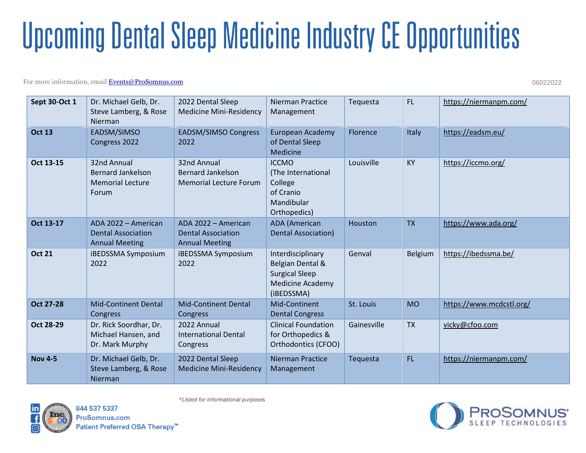### For more information, email [Events@ProSomnus.com](file:///C:/Users/hwhalen/Documents/M-drive/Clinical%20Education/Schedules/Master%20Schedule/Events@ProSomnus.com)

06022022

| <b>Sept 30-Oct 1</b> | Dr. Michael Gelb, Dr.<br>Steve Lamberg, & Rose<br>Nierman                   | 2022 Dental Sleep<br><b>Medicine Mini-Residency</b>                       | Nierman Practice<br>Management                                                                          | Tequesta    | <b>FL</b>      | https://niermanpm.com/   |
|----------------------|-----------------------------------------------------------------------------|---------------------------------------------------------------------------|---------------------------------------------------------------------------------------------------------|-------------|----------------|--------------------------|
| <b>Oct 13</b>        | EADSM/SIMSO<br>Congress 2022                                                | <b>EADSM/SIMSO Congress</b><br>2022                                       | European Academy<br>of Dental Sleep<br>Medicine                                                         | Florence    | Italy          | https://eadsm.eu/        |
| Oct 13-15            | 32nd Annual<br><b>Bernard Jankelson</b><br><b>Memorial Lecture</b><br>Forum | 32nd Annual<br><b>Bernard Jankelson</b><br><b>Memorial Lecture Forum</b>  | <b>ICCMO</b><br>(The International<br>College<br>of Cranio<br>Mandibular<br>Orthopedics)                | Louisville  | <b>KY</b>      | https://iccmo.org/       |
| Oct 13-17            | ADA 2022 - American<br><b>Dental Association</b><br><b>Annual Meeting</b>   | ADA 2022 - American<br><b>Dental Association</b><br><b>Annual Meeting</b> | <b>ADA</b> (American<br><b>Dental Association)</b>                                                      | Houston     | <b>TX</b>      | https://www.ada.org/     |
| <b>Oct 21</b>        | <b>iBEDSSMA Symposium</b><br>2022                                           | iBEDSSMA Symposium<br>2022                                                | Interdisciplinary<br>Belgian Dental &<br><b>Surgical Sleep</b><br><b>Medicine Academy</b><br>(iBEDSSMA) | Genval      | <b>Belgium</b> | https://ibedssma.be/     |
| <b>Oct 27-28</b>     | <b>Mid-Continent Dental</b><br>Congress                                     | <b>Mid-Continent Dental</b><br>Congress                                   | Mid-Continent<br><b>Dental Congress</b>                                                                 | St. Louis   | <b>MO</b>      | https://www.mcdcstl.org/ |
| Oct 28-29            | Dr. Rick Soordhar, Dr.<br>Michael Hansen, and<br>Dr. Mark Murphy            | 2022 Annual<br><b>International Dental</b><br>Congress                    | <b>Clinical Foundation</b><br>for Orthopedics &<br>Orthodontics (CFOO)                                  | Gainesville | <b>TX</b>      | vicky@cfoo.com           |
| <b>Nov 4-5</b>       | Dr. Michael Gelb, Dr.<br>Steve Lamberg, & Rose<br>Nierman                   | 2022 Dental Sleep<br><b>Medicine Mini-Residency</b>                       | <b>Nierman Practice</b><br>Management                                                                   | Tequesta    | <b>FL</b>      | https://niermanpm.com/   |